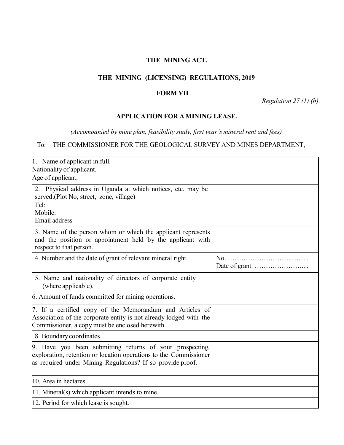## **THE MINING ACT.**

### **THE MINING (LICENSING) REGULATIONS, 2019**

### **FORM VII**

*Regulation 27 (1) (b).*

#### **APPLICATION FOR A MINING LEASE.**

*(Accompanied by mine plan, feasibility study, first year's mineral rent and fees)*

# To: THE COMMISSIONER FOR THE GEOLOGICAL SURVEY AND MINES DEPARTMENT,

| 1. Name of applicant in full.<br>Nationality of applicant.<br>Age of applicant.                                                                                                             |  |
|---------------------------------------------------------------------------------------------------------------------------------------------------------------------------------------------|--|
| 2. Physical address in Uganda at which notices, etc. may be<br>served.(Plot No, street, zone, village)<br>Tel:<br>Mobile:<br>Email address                                                  |  |
| 3. Name of the person whom or which the applicant represents<br>and the position or appointment held by the applicant with<br>respect to that person.                                       |  |
| 4. Number and the date of grant of relevant mineral right.                                                                                                                                  |  |
| 5. Name and nationality of directors of corporate entity<br>(where applicable).                                                                                                             |  |
| 6. Amount of funds committed for mining operations.                                                                                                                                         |  |
| 7. If a certified copy of the Memorandum and Articles of<br>Association of the corporate entity is not already lodged with the<br>Commissioner, a copy must be enclosed herewith.           |  |
| 8. Boundary coordinates                                                                                                                                                                     |  |
| 9. Have you been submitting returns of your prospecting,<br>exploration, retention or location operations to the Commissioner<br>as required under Mining Regulations? If so provide proof. |  |
| 10. Area in hectares.                                                                                                                                                                       |  |
| $ 11$ . Mineral(s) which applicant intends to mine.                                                                                                                                         |  |
| 12. Period for which lease is sought.                                                                                                                                                       |  |